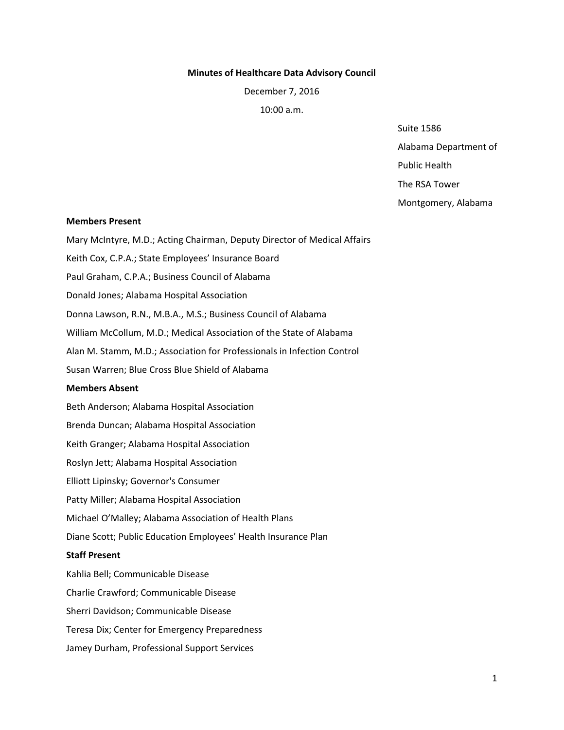#### **Minutes of Healthcare Data Advisory Council**

December 7, 2016

10:00 a.m.

Suite 1586

Alabama Department of

Public Health

The RSA Tower

Montgomery, Alabama

#### **Members Present**

Mary McIntyre, M.D.; Acting Chairman, Deputy Director of Medical Affairs

Keith Cox, C.P.A.; State Employees' Insurance Board

Paul Graham, C.P.A.; Business Council of Alabama

Donald Jones; Alabama Hospital Association

Donna Lawson, R.N., M.B.A., M.S.; Business Council of Alabama

William McCollum, M.D.; Medical Association of the State of Alabama

Alan M. Stamm, M.D.; Association for Professionals in Infection Control

Susan Warren; Blue Cross Blue Shield of Alabama

### **Members Absent**

Beth Anderson; Alabama Hospital Association Brenda Duncan; Alabama Hospital Association Keith Granger; Alabama Hospital Association Roslyn Jett; Alabama Hospital Association Elliott Lipinsky; Governor's Consumer Patty Miller; Alabama Hospital Association Michael O'Malley; Alabama Association of Health Plans Diane Scott; Public Education Employees' Health Insurance Plan

### **Staff Present**

Kahlia Bell; Communicable Disease Charlie Crawford; Communicable Disease Sherri Davidson; Communicable Disease Teresa Dix; Center for Emergency Preparedness Jamey Durham, Professional Support Services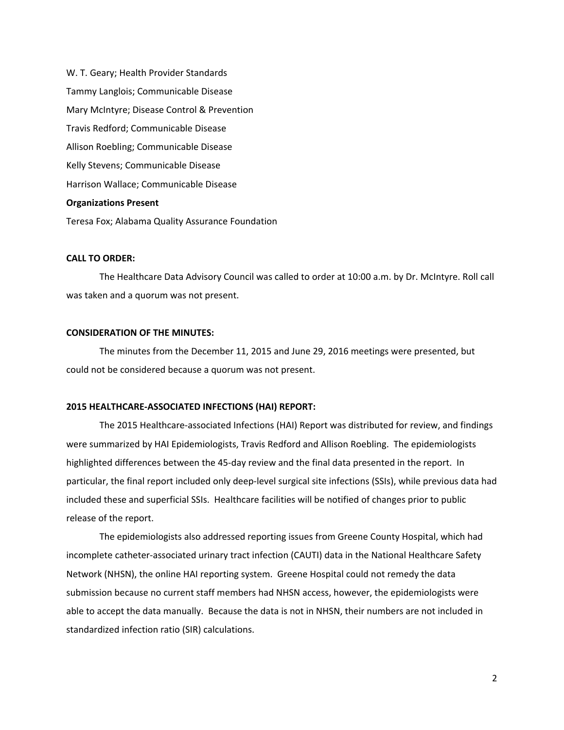W. T. Geary; Health Provider Standards Tammy Langlois; Communicable Disease Mary McIntyre; Disease Control & Prevention Travis Redford; Communicable Disease Allison Roebling; Communicable Disease Kelly Stevens; Communicable Disease Harrison Wallace; Communicable Disease **Organizations Present**  Teresa Fox; Alabama Quality Assurance Foundation

#### **CALL TO ORDER:**

The Healthcare Data Advisory Council was called to order at 10:00 a.m. by Dr. McIntyre. Roll call was taken and a quorum was not present.

### **CONSIDERATION OF THE MINUTES:**

The minutes from the December 11, 2015 and June 29, 2016 meetings were presented, but could not be considered because a quorum was not present.

#### **2015 HEALTHCARE‐ASSOCIATED INFECTIONS (HAI) REPORT:**

The 2015 Healthcare‐associated Infections (HAI) Report was distributed for review, and findings were summarized by HAI Epidemiologists, Travis Redford and Allison Roebling. The epidemiologists highlighted differences between the 45-day review and the final data presented in the report. In particular, the final report included only deep‐level surgical site infections (SSIs), while previous data had included these and superficial SSIs. Healthcare facilities will be notified of changes prior to public release of the report.

The epidemiologists also addressed reporting issues from Greene County Hospital, which had incomplete catheter‐associated urinary tract infection (CAUTI) data in the National Healthcare Safety Network (NHSN), the online HAI reporting system. Greene Hospital could not remedy the data submission because no current staff members had NHSN access, however, the epidemiologists were able to accept the data manually. Because the data is not in NHSN, their numbers are not included in standardized infection ratio (SIR) calculations.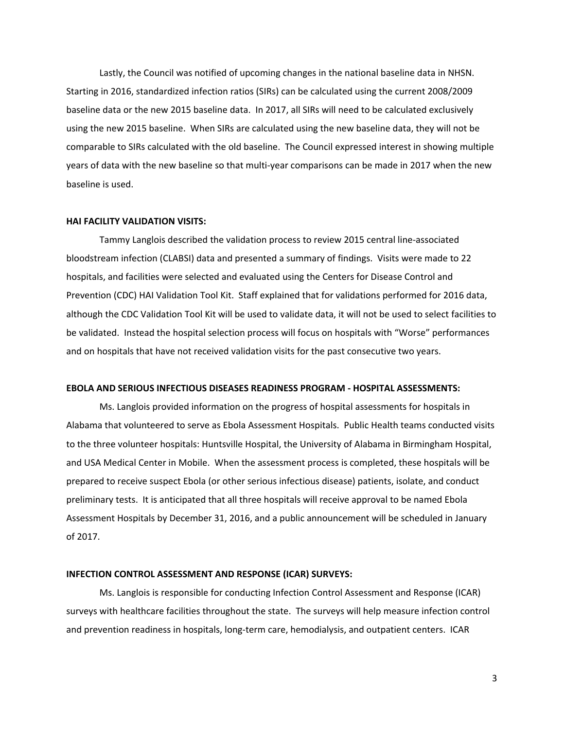Lastly, the Council was notified of upcoming changes in the national baseline data in NHSN. Starting in 2016, standardized infection ratios (SIRs) can be calculated using the current 2008/2009 baseline data or the new 2015 baseline data. In 2017, all SIRs will need to be calculated exclusively using the new 2015 baseline. When SIRs are calculated using the new baseline data, they will not be comparable to SIRs calculated with the old baseline. The Council expressed interest in showing multiple years of data with the new baseline so that multi‐year comparisons can be made in 2017 when the new baseline is used.

#### **HAI FACILITY VALIDATION VISITS:**

Tammy Langlois described the validation process to review 2015 central line‐associated bloodstream infection (CLABSI) data and presented a summary of findings. Visits were made to 22 hospitals, and facilities were selected and evaluated using the Centers for Disease Control and Prevention (CDC) HAI Validation Tool Kit. Staff explained that for validations performed for 2016 data, although the CDC Validation Tool Kit will be used to validate data, it will not be used to select facilities to be validated. Instead the hospital selection process will focus on hospitals with "Worse" performances and on hospitals that have not received validation visits for the past consecutive two years.

#### **EBOLA AND SERIOUS INFECTIOUS DISEASES READINESS PROGRAM ‐ HOSPITAL ASSESSMENTS:**

Ms. Langlois provided information on the progress of hospital assessments for hospitals in Alabama that volunteered to serve as Ebola Assessment Hospitals. Public Health teams conducted visits to the three volunteer hospitals: Huntsville Hospital, the University of Alabama in Birmingham Hospital, and USA Medical Center in Mobile. When the assessment process is completed, these hospitals will be prepared to receive suspect Ebola (or other serious infectious disease) patients, isolate, and conduct preliminary tests. It is anticipated that all three hospitals will receive approval to be named Ebola Assessment Hospitals by December 31, 2016, and a public announcement will be scheduled in January of 2017.

### **INFECTION CONTROL ASSESSMENT AND RESPONSE (ICAR) SURVEYS:**

Ms. Langlois is responsible for conducting Infection Control Assessment and Response (ICAR) surveys with healthcare facilities throughout the state. The surveys will help measure infection control and prevention readiness in hospitals, long‐term care, hemodialysis, and outpatient centers. ICAR